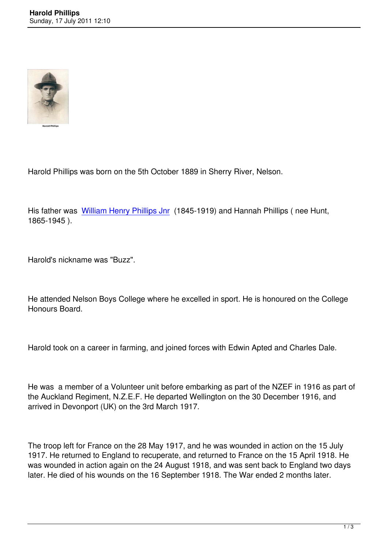

Harold Phillips was born on the 5th October 1889 in Sherry River, Nelson.

His father was William Henry Phillips Jnr (1845-1919) and Hannah Phillips (nee Hunt, 1865-1945 ).

Harold's nickname was "Buzz".

He attended Nelson Boys College where he excelled in sport. He is honoured on the College Honours Board.

Harold took on a career in farming, and joined forces with Edwin Apted and Charles Dale.

He was a member of a Volunteer unit before embarking as part of the NZEF in 1916 as part of the Auckland Regiment, N.Z.E.F. He departed Wellington on the 30 December 1916, and arrived in Devonport (UK) on the 3rd March 1917.

The troop left for France on the 28 May 1917, and he was wounded in action on the 15 July 1917. He returned to England to recuperate, and returned to France on the 15 April 1918. He was wounded in action again on the 24 August 1918, and was sent back to England two days later. He died of his wounds on the 16 September 1918. The War ended 2 months later.